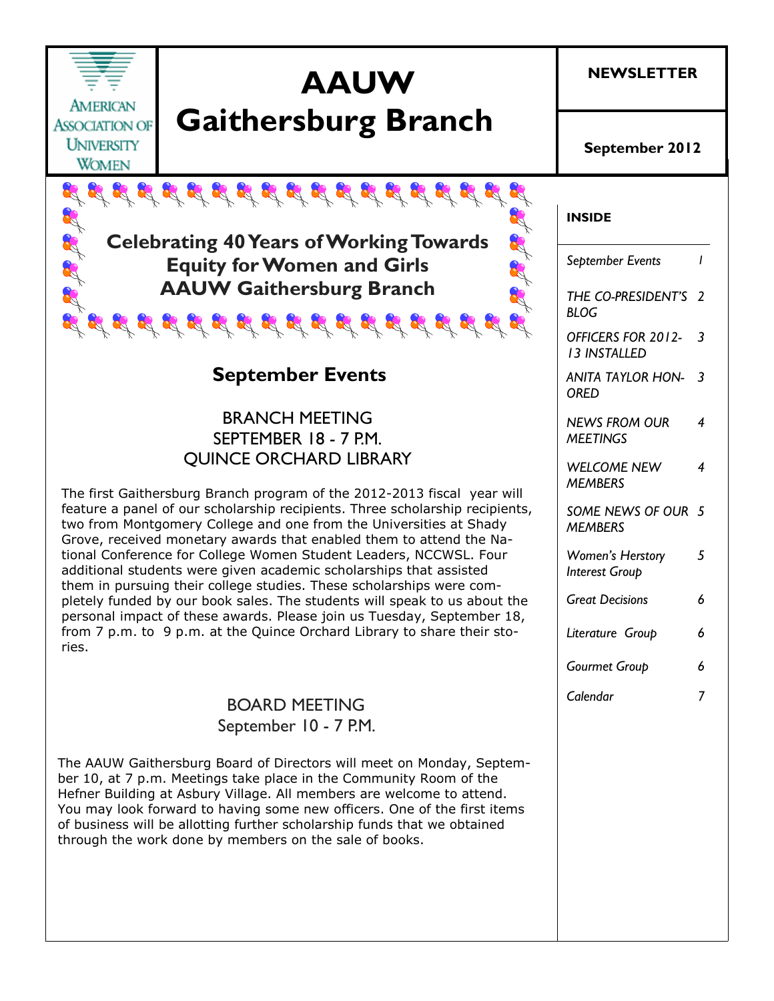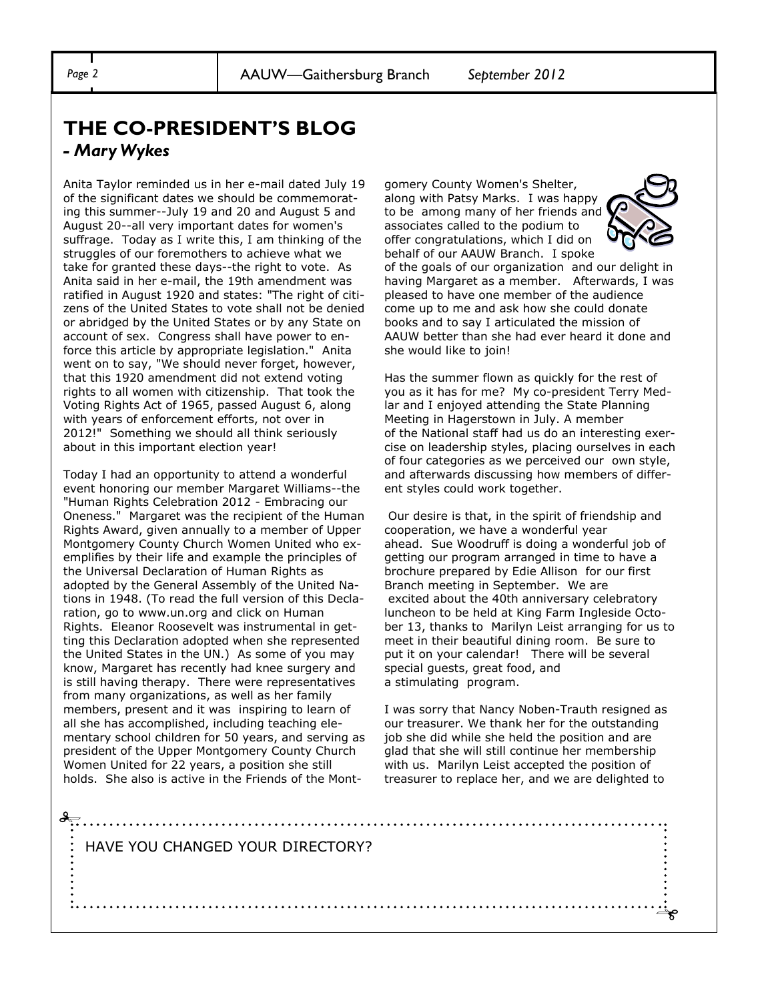### **THE CO-PRESIDENT'S BLOG** *- Mary Wykes*

Anita Taylor reminded us in her e-mail dated July 19 of the significant dates we should be commemorating this summer--July 19 and 20 and August 5 and August 20--all very important dates for women's suffrage. Today as I write this, I am thinking of the struggles of our foremothers to achieve what we take for granted these days--the right to vote. As Anita said in her e-mail, the 19th amendment was ratified in August 1920 and states: "The right of citizens of the United States to vote shall not be denied or abridged by the United States or by any State on account of sex. Congress shall have power to enforce this article by appropriate legislation." Anita went on to say, "We should never forget, however, that this 1920 amendment did not extend voting rights to all women with citizenship. That took the Voting Rights Act of 1965, passed August 6, along with years of enforcement efforts, not over in 2012!" Something we should all think seriously about in this important election year!

Today I had an opportunity to attend a wonderful event honoring our member Margaret Williams--the "Human Rights Celebration 2012 - Embracing our Oneness." Margaret was the recipient of the Human Rights Award, given annually to a member of Upper Montgomery County Church Women United who exemplifies by their life and example the principles of the Universal Declaration of Human Rights as adopted by the General Assembly of the United Nations in 1948. (To read the full version of this Declaration, go to www.un.org and click on Human Rights. Eleanor Roosevelt was instrumental in getting this Declaration adopted when she represented the United States in the UN.) As some of you may know, Margaret has recently had knee surgery and is still having therapy. There were representatives from many organizations, as well as her family members, present and it was inspiring to learn of all she has accomplished, including teaching elementary school children for 50 years, and serving as president of the Upper Montgomery County Church Women United for 22 years, a position she still holds. She also is active in the Friends of the Montgomery County Women's Shelter, along with Patsy Marks. I was happy to be among many of her friends and associates called to the podium to offer congratulations, which I did on behalf of our AAUW Branch. I spoke



of the goals of our organization and our delight in having Margaret as a member. Afterwards, I was pleased to have one member of the audience come up to me and ask how she could donate books and to say I articulated the mission of AAUW better than she had ever heard it done and she would like to join!

Has the summer flown as quickly for the rest of you as it has for me? My co-president Terry Medlar and I enjoyed attending the State Planning Meeting in Hagerstown in July. A member of the National staff had us do an interesting exercise on leadership styles, placing ourselves in each of four categories as we perceived our own style, and afterwards discussing how members of different styles could work together.

Our desire is that, in the spirit of friendship and cooperation, we have a wonderful year ahead. Sue Woodruff is doing a wonderful job of getting our program arranged in time to have a brochure prepared by Edie Allison for our first Branch meeting in September. We are excited about the 40th anniversary celebratory luncheon to be held at King Farm Ingleside October 13, thanks to Marilyn Leist arranging for us to meet in their beautiful dining room. Be sure to put it on your calendar! There will be several special guests, great food, and a stimulating program.

I was sorry that Nancy Noben-Trauth resigned as our treasurer. We thank her for the outstanding job she did while she held the position and are glad that she will still continue her membership with us. Marilyn Leist accepted the position of treasurer to replace her, and we are delighted to

HAVE YOU CHANGED YOUR DIRECTORY?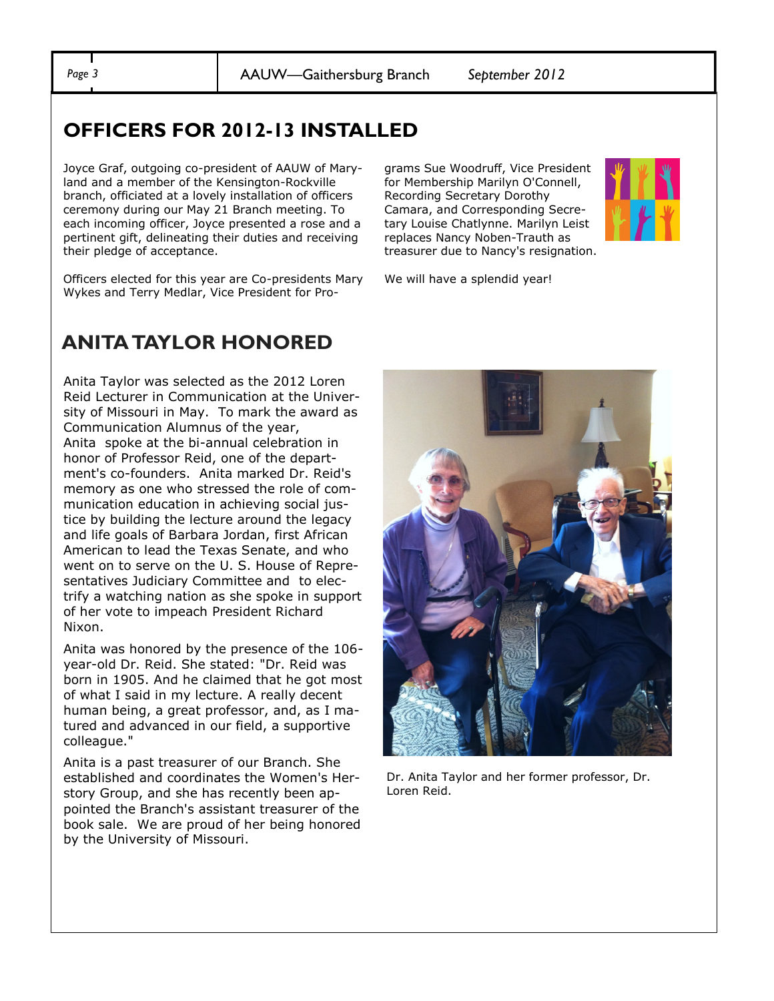*Page 3* AAUW—Gaithersburg Branch *September 2012*

## **OFFICERS FOR 2012-13 INSTALLED**

Joyce Graf, outgoing co-president of AAUW of Maryland and a member of the Kensington-Rockville branch, officiated at a lovely installation of officers ceremony during our May 21 Branch meeting. To each incoming officer, Joyce presented a rose and a pertinent gift, delineating their duties and receiving their pledge of acceptance.

Officers elected for this year are Co-presidents Mary Wykes and Terry Medlar, Vice President for Pro-

#### grams Sue Woodruff, Vice President for Membership Marilyn O'Connell, Recording Secretary Dorothy Camara, and Corresponding Secretary Louise Chatlynne. Marilyn Leist replaces Nancy Noben-Trauth as treasurer due to Nancy's resignation.



We will have a splendid year!

# **ANITA TAYLOR HONORED**

Anita Taylor was selected as the 2012 Loren Reid Lecturer in Communication at the University of Missouri in May. To mark the award as Communication Alumnus of the year, Anita spoke at the bi-annual celebration in honor of Professor Reid, one of the department's co-founders. Anita marked Dr. Reid's memory as one who stressed the role of communication education in achieving social justice by building the lecture around the legacy and life goals of Barbara Jordan, first African American to lead the Texas Senate, and who went on to serve on the U. S. House of Representatives Judiciary Committee and to electrify a watching nation as she spoke in support of her vote to impeach President Richard Nixon.

Anita was honored by the presence of the 106 year-old Dr. Reid. She stated: "Dr. Reid was born in 1905. And he claimed that he got most of what I said in my lecture. A really decent human being, a great professor, and, as I matured and advanced in our field, a supportive colleague."

Anita is a past treasurer of our Branch. She established and coordinates the Women's Herstory Group, and she has recently been appointed the Branch's assistant treasurer of the book sale. We are proud of her being honored by the University of Missouri.



Dr. Anita Taylor and her former professor, Dr. Loren Reid.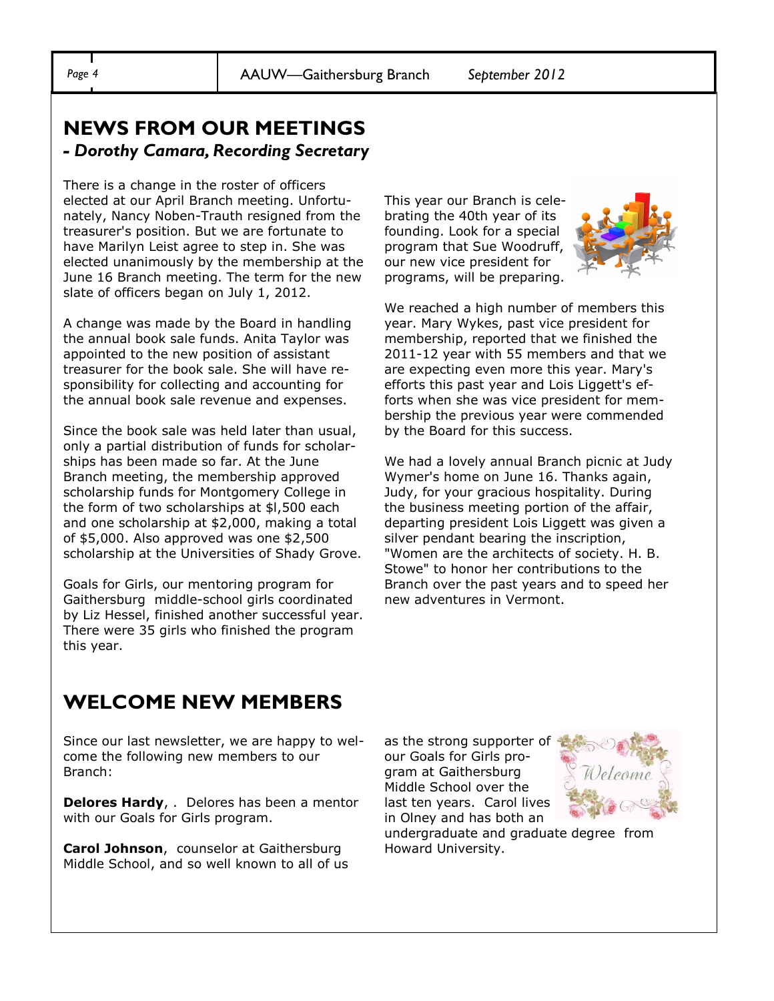## **NEWS FROM OUR MEETINGS**  *- Dorothy Camara, Recording Secretary*

There is a change in the roster of officers elected at our April Branch meeting. Unfortunately, Nancy Noben-Trauth resigned from the treasurer's position. But we are fortunate to have Marilyn Leist agree to step in. She was elected unanimously by the membership at the June 16 Branch meeting. The term for the new slate of officers began on July 1, 2012.

A change was made by the Board in handling the annual book sale funds. Anita Taylor was appointed to the new position of assistant treasurer for the book sale. She will have responsibility for collecting and accounting for the annual book sale revenue and expenses.

Since the book sale was held later than usual, only a partial distribution of funds for scholarships has been made so far. At the June Branch meeting, the membership approved scholarship funds for Montgomery College in the form of two scholarships at \$l,500 each and one scholarship at \$2,000, making a total of \$5,000. Also approved was one \$2,500 scholarship at the Universities of Shady Grove.

Goals for Girls, our mentoring program for Gaithersburg middle-school girls coordinated by Liz Hessel, finished another successful year. There were 35 girls who finished the program this year.

This year our Branch is celebrating the 40th year of its founding. Look for a special program that Sue Woodruff, our new vice president for programs, will be preparing.



We reached a high number of members this year. Mary Wykes, past vice president for membership, reported that we finished the 2011-12 year with 55 members and that we are expecting even more this year. Mary's efforts this past year and Lois Liggett's efforts when she was vice president for membership the previous year were commended by the Board for this success.

We had a lovely annual Branch picnic at Judy Wymer's home on June 16. Thanks again, Judy, for your gracious hospitality. During the business meeting portion of the affair, departing president Lois Liggett was given a silver pendant bearing the inscription, "Women are the architects of society. H. B. Stowe" to honor her contributions to the Branch over the past years and to speed her new adventures in Vermont.

# **WELCOME NEW MEMBERS**

Since our last newsletter, we are happy to welcome the following new members to our Branch:

**Delores Hardy**, . Delores has been a mentor with our Goals for Girls program.

**Carol Johnson**, counselor at Gaithersburg Middle School, and so well known to all of us as the strong supporter of our Goals for Girls program at Gaithersburg Middle School over the last ten years. Carol lives in Olney and has both an



undergraduate and graduate degree from Howard University.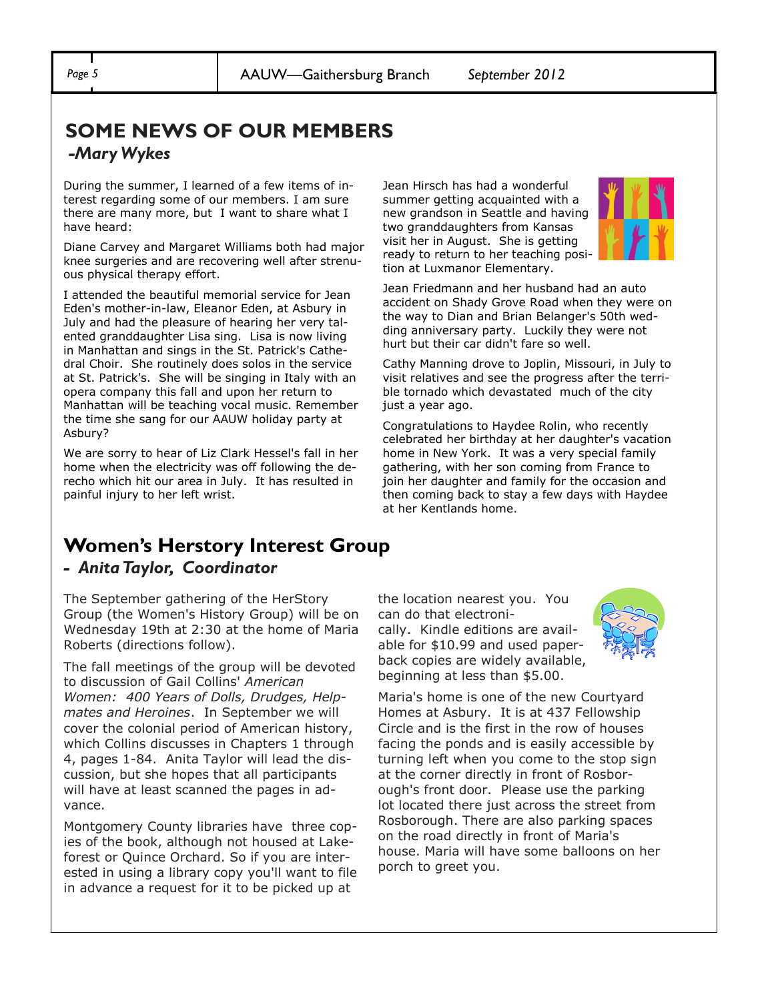#### **SOME NEWS OF OUR MEMBERS** *-Mary Wykes*

During the summer, I learned of a few items of interest regarding some of our members. I am sure there are many more, but I want to share what I have heard:

Diane Carvey and Margaret Williams both had major knee surgeries and are recovering well after strenuous physical therapy effort.

I attended the beautiful memorial service for Jean Eden's mother-in-law, Eleanor Eden, at Asbury in July and had the pleasure of hearing her very talented granddaughter Lisa sing. Lisa is now living in Manhattan and sings in the St. Patrick's Cathedral Choir. She routinely does solos in the service at St. Patrick's. She will be singing in Italy with an opera company this fall and upon her return to Manhattan will be teaching vocal music. Remember the time she sang for our AAUW holiday party at Asbury?

We are sorry to hear of Liz Clark Hessel's fall in her home when the electricity was off following the derecho which hit our area in July. It has resulted in painful injury to her left wrist.

Jean Hirsch has had a wonderful summer getting acquainted with a new grandson in Seattle and having two granddaughters from Kansas visit her in August. She is getting ready to return to her teaching position at Luxmanor Elementary.



Jean Friedmann and her husband had an auto accident on Shady Grove Road when they were on the way to Dian and Brian Belanger's 50th wedding anniversary party. Luckily they were not hurt but their car didn't fare so well.

Cathy Manning drove to Joplin, Missouri, in July to visit relatives and see the progress after the terrible tornado which devastated much of the city just a year ago.

Congratulations to Haydee Rolin, who recently celebrated her birthday at her daughter's vacation home in New York. It was a very special family gathering, with her son coming from France to join her daughter and family for the occasion and then coming back to stay a few days with Haydee at her Kentlands home.

#### **Women's Herstory Interest Group** *- Anita Taylor, Coordinator*

The September gathering of the HerStory Group (the Women's History Group) will be on Wednesday 19th at 2:30 at the home of Maria Roberts (directions follow).

The fall meetings of the group will be devoted to discussion of Gail Collins' *American Women: 400 Years of Dolls, Drudges, Helpmates and Heroines*. In September we will cover the colonial period of American history, which Collins discusses in Chapters 1 through 4, pages 1-84. Anita Taylor will lead the discussion, but she hopes that all participants will have at least scanned the pages in advance.

Montgomery County libraries have three copies of the book, although not housed at Lakeforest or Quince Orchard. So if you are interested in using a library copy you'll want to file in advance a request for it to be picked up at

the location nearest you. You can do that electronically. Kindle editions are available for \$10.99 and used paperback copies are widely available, beginning at less than \$5.00.



Maria's home is one of the new Courtyard Homes at Asbury. It is at 437 Fellowship Circle and is the first in the row of houses facing the ponds and is easily accessible by turning left when you come to the stop sign at the corner directly in front of Rosborough's front door. Please use the parking lot located there just across the street from Rosborough. There are also parking spaces on the road directly in front of Maria's house. Maria will have some balloons on her porch to greet you.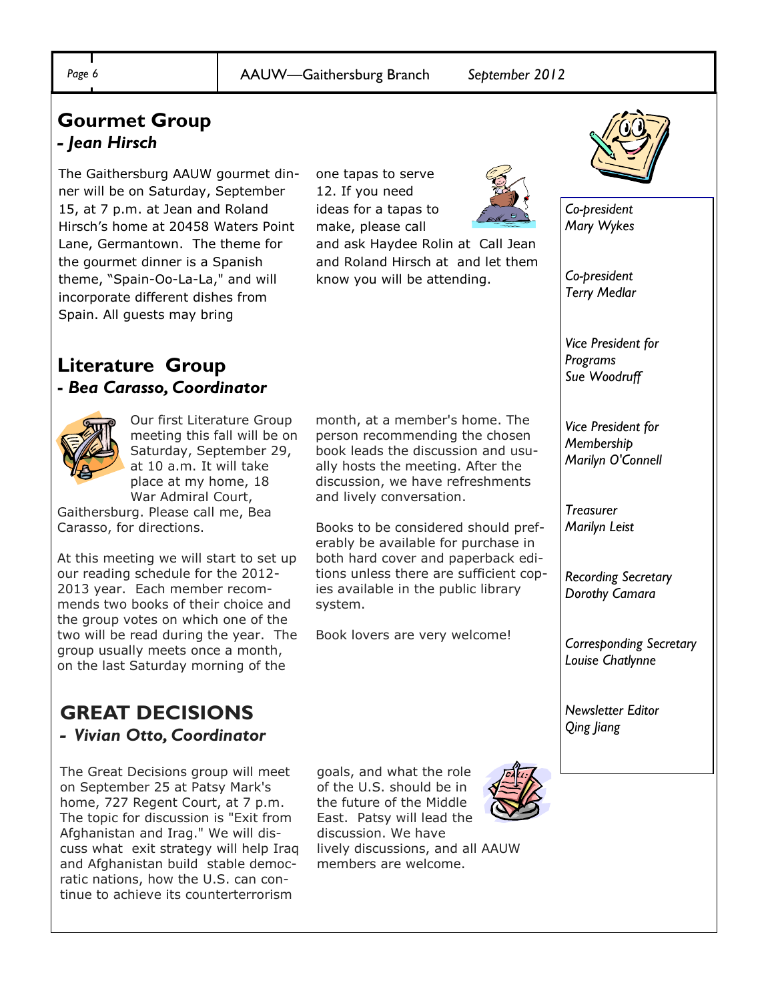### **Gourmet Group** *- Jean Hirsch*

The Gaithersburg AAUW gourmet dinner will be on Saturday, September 15, at 7 p.m. at Jean and Roland Hirsch's home at 20458 Waters Point Lane, Germantown. The theme for the gourmet dinner is a Spanish theme, "Spain-Oo-La-La," and will incorporate different dishes from Spain. All guests may bring

one tapas to serve 12. If you need ideas for a tapas to make, please call

and ask Haydee Rolin at Call Jean and Roland Hirsch at and let them know you will be attending.

month, at a member's home. The person recommending the chosen book leads the discussion and usually hosts the meeting. After the discussion, we have refreshments

Books to be considered should preferably be available for purchase in both hard cover and paperback editions unless there are sufficient copies available in the public library

Book lovers are very welcome!

and lively conversation.

system.





*Co-president Mary Wykes*

*Co-president Terry Medlar*

*Vice President for Programs Sue Woodruff*

*Vice President for Membership Marilyn O'Connell*

*Treasurer Marilyn Leist*

*Recording Secretary Dorothy Camara*

*Corresponding Secretary Louise Chatlynne*

*Newsletter Editor Qing Jiang*

# **Literature Group**

#### **-** *Bea Carasso, Coordinator*



Our first Literature Group meeting this fall will be on Saturday, September 29, at 10 a.m. It will take place at my home, 18 War Admiral Court,

Gaithersburg. Please call me, Bea Carasso, for directions.

At this meeting we will start to set up our reading schedule for the 2012- 2013 year. Each member recommends two books of their choice and the group votes on which one of the two will be read during the year. The group usually meets once a month, on the last Saturday morning of the

#### **GREAT DECISIONS**  *- Vivian Otto, Coordinator*

The Great Decisions group will meet on September 25 at Patsy Mark's home, 727 Regent Court, at 7 p.m. The topic for discussion is "Exit from Afghanistan and Irag." We will discuss what exit strategy will help Iraq and Afghanistan build stable democratic nations, how the U.S. can continue to achieve its counterterrorism

goals, and what the role of the U.S. should be in the future of the Middle East. Patsy will lead the discussion. We have lively discussions, and all AAUW members are welcome.